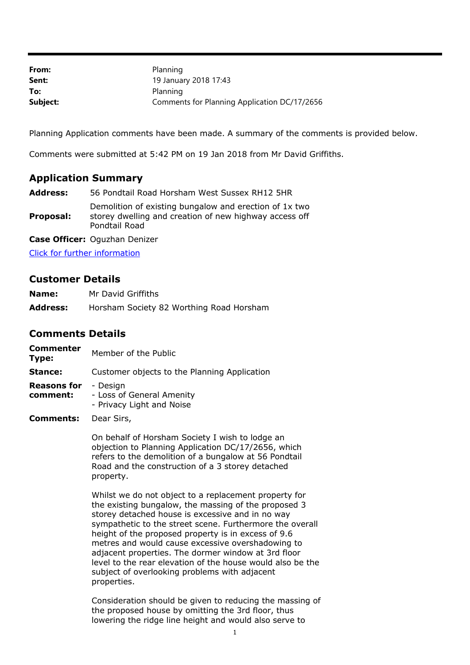| From:    | Planning                                     |
|----------|----------------------------------------------|
| Sent:    | 19 January 2018 17:43                        |
| To:      | Planning                                     |
| Subject: | Comments for Planning Application DC/17/2656 |

Planning Application comments have been made. A summary of the comments is provided below.

Comments were submitted at 5:42 PM on 19 Jan 2018 from Mr David Griffiths.

## **Application Summary**

**Address:** 56 Pondtail Road Horsham West Sussex RH12 5HR

**Proposal:** Demolition of existing bungalow and erection of 1x two storey dwelling and creation of new highway access off Pondtail Road

**Case Officer:** Oguzhan Denizer

[Click for further information](https://public-access.horsham.gov.uk/public-access//centralDistribution.do?caseType=Application&keyVal=P02JOBIJK2T00)

## **Customer Details**

| Name:           | Mr David Griffiths                       |
|-----------------|------------------------------------------|
| <b>Address:</b> | Horsham Society 82 Worthing Road Horsham |

## **Comments Details**

| Commenter<br>Type:      | Member of the Public                                               |
|-------------------------|--------------------------------------------------------------------|
| Stance:                 | Customer objects to the Planning Application                       |
| Reasons for<br>comment: | - Desian<br>- Loss of General Amenity<br>- Privacy Light and Noise |

**Comments:** Dear Sirs,

On behalf of Horsham Society I wish to lodge an objection to Planning Application DC/17/2656, which refers to the demolition of a bungalow at 56 Pondtail Road and the construction of a 3 storey detached property.

Whilst we do not object to a replacement property for the existing bungalow, the massing of the proposed 3 storey detached house is excessive and in no way sympathetic to the street scene. Furthermore the overall height of the proposed property is in excess of 9.6 metres and would cause excessive overshadowing to adjacent properties. The dormer window at 3rd floor level to the rear elevation of the house would also be the subject of overlooking problems with adjacent properties.

Consideration should be given to reducing the massing of the proposed house by omitting the 3rd floor, thus lowering the ridge line height and would also serve to